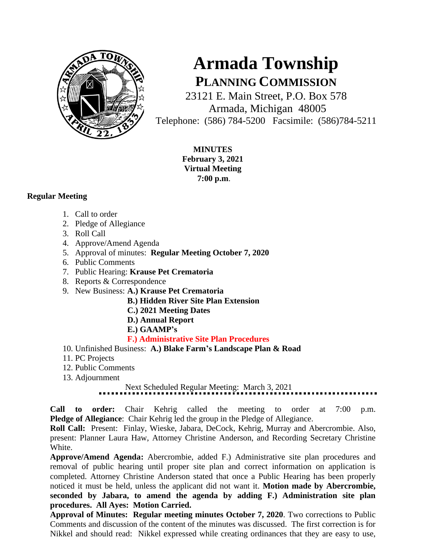

## **Armada Township PLANNING COMMISSION**

23121 E. Main Street, P.O. Box 578 Armada, Michigan 48005 Telephone: (586) 784-5200 Facsimile: (586)784-5211

> **MINUTES February 3, 2021 Virtual Meeting 7:00 p.m**.

## **Regular Meeting**

- 1. Call to order
- 2. Pledge of Allegiance
- 3. Roll Call
- 4. Approve/Amend Agenda
- 5. Approval of minutes: **Regular Meeting October 7, 2020**
- 6. Public Comments
- 7. Public Hearing: **Krause Pet Crematoria**
- 8. Reports & Correspondence
- 9. New Business: **A.) Krause Pet Crematoria**
	- **B.) Hidden River Site Plan Extension**
	- **C.) 2021 Meeting Dates**
	- **D.) Annual Report**
	- **E.) GAAMP's**

## **F.) Administrative Site Plan Procedures**

- 10. Unfinished Business: **A.) Blake Farm's Landscape Plan & Road**
- 11. PC Projects
- 12. Public Comments
- 13. Adjournment

## Next Scheduled Regular Meeting: March 3, 2021

**Call to order:** Chair Kehrig called the meeting to order at 7:00 p.m. **Pledge of Allegiance**: Chair Kehrig led the group in the Pledge of Allegiance.

**Roll Call:** Present: Finlay, Wieske, Jabara, DeCock, Kehrig, Murray and Abercrombie. Also, present: Planner Laura Haw, Attorney Christine Anderson, and Recording Secretary Christine White.

**Approve/Amend Agenda:** Abercrombie, added F.) Administrative site plan procedures and removal of public hearing until proper site plan and correct information on application is completed. Attorney Christine Anderson stated that once a Public Hearing has been properly noticed it must be held, unless the applicant did not want it. **Motion made by Abercrombie, seconded by Jabara, to amend the agenda by adding F.) Administration site plan procedures. All Ayes: Motion Carried.**

**Approval of Minutes: Regular meeting minutes October 7, 2020**. Two corrections to Public Comments and discussion of the content of the minutes was discussed. The first correction is for Nikkel and should read: Nikkel expressed while creating ordinances that they are easy to use,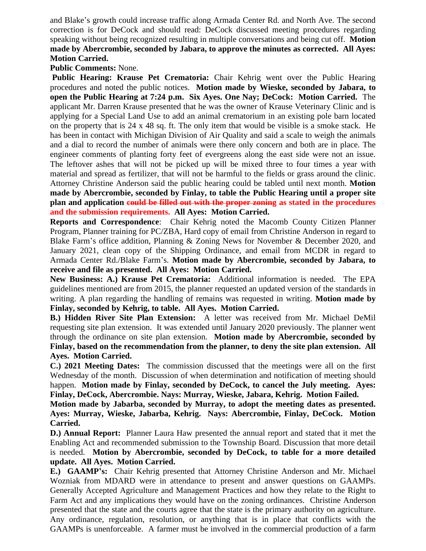and Blake's growth could increase traffic along Armada Center Rd. and North Ave. The second correction is for DeCock and should read: DeCock discussed meeting procedures regarding speaking without being recognized resulting in multiple conversations and being cut off. **Motion made by Abercrombie, seconded by Jabara, to approve the minutes as corrected. All Ayes: Motion Carried.** 

**Public Comments:** None.

**Public Hearing: Krause Pet Crematoria:** Chair Kehrig went over the Public Hearing procedures and noted the public notices. **Motion made by Wieske, seconded by Jabara, to open the Public Hearing at 7:24 p.m. Six Ayes. One Nay; DeCock: Motion Carried.** The applicant Mr. Darren Krause presented that he was the owner of Krause Veterinary Clinic and is applying for a Special Land Use to add an animal crematorium in an existing pole barn located on the property that is 24 x 48 sq. ft. The only item that would be visible is a smoke stack. He has been in contact with Michigan Division of Air Quality and said a scale to weigh the animals and a dial to record the number of animals were there only concern and both are in place. The engineer comments of planting forty feet of evergreens along the east side were not an issue. The leftover ashes that will not be picked up will be mixed three to four times a year with material and spread as fertilizer, that will not be harmful to the fields or grass around the clinic. Attorney Christine Anderson said the public hearing could be tabled until next month. **Motion made by Abercrombie, seconded by Finlay, to table the Public Hearing until a proper site plan and application could be filled out with the proper zoning as stated in the procedures and the submission requirements. All Ayes: Motion Carried.**

**Reports and Correspondence**: Chair Kehrig noted the Macomb County Citizen Planner Program, Planner training for PC/ZBA, Hard copy of email from Christine Anderson in regard to Blake Farm's office addition, Planning & Zoning News for November & December 2020, and January 2021, clean copy of the Shipping Ordinance, and email from MCDR in regard to Armada Center Rd./Blake Farm's. **Motion made by Abercrombie, seconded by Jabara, to receive and file as presented. All Ayes: Motion Carried.** 

**New Business: A.) Krause Pet Crematoria:** Additional information is needed. The EPA guidelines mentioned are from 2015, the planner requested an updated version of the standards in writing. A plan regarding the handling of remains was requested in writing. **Motion made by Finlay, seconded by Kehrig, to table. All Ayes. Motion Carried.**

**B.) Hidden River Site Plan Extension:** A letter was received from Mr. Michael DeMil requesting site plan extension. It was extended until January 2020 previously. The planner went through the ordinance on site plan extension. **Motion made by Abercrombie, seconded by Finlay, based on the recommendation from the planner, to deny the site plan extension. All Ayes. Motion Carried.**

**C.) 2021 Meeting Dates:** The commission discussed that the meetings were all on the first Wednesday of the month. Discussion of when determination and notification of meeting should happen. **Motion made by Finlay, seconded by DeCock, to cancel the July meeting. Ayes: Finlay, DeCock, Abercrombie. Nays: Murray, Wieske, Jabara, Kehrig. Motion Failed.**

**Motion made by Jabarba, seconded by Murray, to adopt the meeting dates as presented. Ayes: Murray, Wieske, Jabarba, Kehrig. Nays: Abercrombie, Finlay, DeCock. Motion Carried.**

**D.) Annual Report:** Planner Laura Haw presented the annual report and stated that it met the Enabling Act and recommended submission to the Township Board. Discussion that more detail is needed. **Motion by Abercrombie, seconded by DeCock, to table for a more detailed update. All Ayes. Motion Carried.**

**E.) GAAMP's:** Chair Kehrig presented that Attorney Christine Anderson and Mr. Michael Wozniak from MDARD were in attendance to present and answer questions on GAAMPs. Generally Accepted Agriculture and Management Practices and how they relate to the Right to Farm Act and any implications they would have on the zoning ordinances. Christine Anderson presented that the state and the courts agree that the state is the primary authority on agriculture. Any ordinance, regulation, resolution, or anything that is in place that conflicts with the GAAMPs is unenforceable. A farmer must be involved in the commercial production of a farm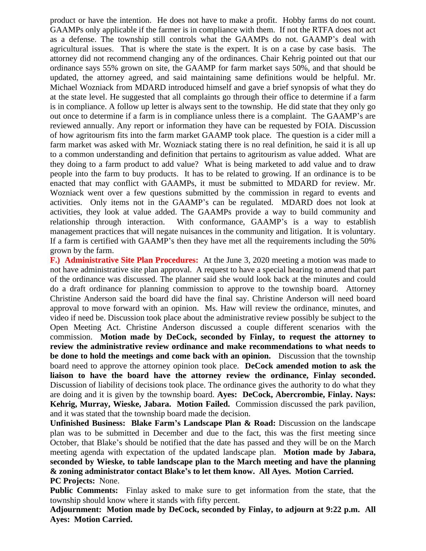product or have the intention. He does not have to make a profit. Hobby farms do not count. GAAMPs only applicable if the farmer is in compliance with them. If not the RTFA does not act as a defense. The township still controls what the GAAMPs do not. GAAMP's deal with agricultural issues. That is where the state is the expert. It is on a case by case basis. The attorney did not recommend changing any of the ordinances. Chair Kehrig pointed out that our ordinance says 55% grown on site, the GAAMP for farm market says 50%, and that should be updated, the attorney agreed, and said maintaining same definitions would be helpful. Mr. Michael Wozniack from MDARD introduced himself and gave a brief synopsis of what they do at the state level. He suggested that all complaints go through their office to determine if a farm is in compliance. A follow up letter is always sent to the township. He did state that they only go out once to determine if a farm is in compliance unless there is a complaint. The GAAMP's are reviewed annually. Any report or information they have can be requested by FOIA. Discussion of how agritourism fits into the farm market GAAMP took place. The question is a cider mill a farm market was asked with Mr. Wozniack stating there is no real definition, he said it is all up to a common understanding and definition that pertains to agritourism as value added. What are they doing to a farm product to add value? What is being marketed to add value and to draw people into the farm to buy products. It has to be related to growing. If an ordinance is to be enacted that may conflict with GAAMPs, it must be submitted to MDARD for review. Mr. Wozniack went over a few questions submitted by the commission in regard to events and activities. Only items not in the GAAMP's can be regulated. MDARD does not look at activities, they look at value added. The GAAMPs provide a way to build community and relationship through interaction. With conformance, GAAMP's is a way to establish management practices that will negate nuisances in the community and litigation. It is voluntary. If a farm is certified with GAAMP's then they have met all the requirements including the 50% grown by the farm.

**F.) Administrative Site Plan Procedures:** At the June 3, 2020 meeting a motion was made to not have administrative site plan approval. A request to have a special hearing to amend that part of the ordinance was discussed. The planner said she would look back at the minutes and could do a draft ordinance for planning commission to approve to the township board. Attorney Christine Anderson said the board did have the final say. Christine Anderson will need board approval to move forward with an opinion. Ms. Haw will review the ordinance, minutes, and video if need be. Discussion took place about the administrative review possibly be subject to the Open Meeting Act. Christine Anderson discussed a couple different scenarios with the commission. **Motion made by DeCock, seconded by Finlay, to request the attorney to review the administrative review ordinance and make recommendations to what needs to be done to hold the meetings and come back with an opinion.** Discussion that the township board need to approve the attorney opinion took place. **DeCock amended motion to ask the liaison to have the board have the attorney review the ordinance, Finlay seconded.**  Discussion of liability of decisions took place. The ordinance gives the authority to do what they are doing and it is given by the township board. **Ayes: DeCock, Abercrombie, Finlay. Nays: Kehrig, Murray, Wieske, Jabara. Motion Failed.** Commission discussed the park pavilion, and it was stated that the township board made the decision.

**Unfinished Business: Blake Farm's Landscape Plan & Road:** Discussion on the landscape plan was to be submitted in December and due to the fact, this was the first meeting since October, that Blake's should be notified that the date has passed and they will be on the March meeting agenda with expectation of the updated landscape plan. **Motion made by Jabara, seconded by Wieske, to table landscape plan to the March meeting and have the planning & zoning administrator contact Blake's to let them know. All Ayes. Motion Carried. PC Projects:** None.

**Public Comments:** Finlay asked to make sure to get information from the state, that the township should know where it stands with fifty percent.

**Adjournment: Motion made by DeCock, seconded by Finlay, to adjourn at 9:22 p.m. All Ayes: Motion Carried.**